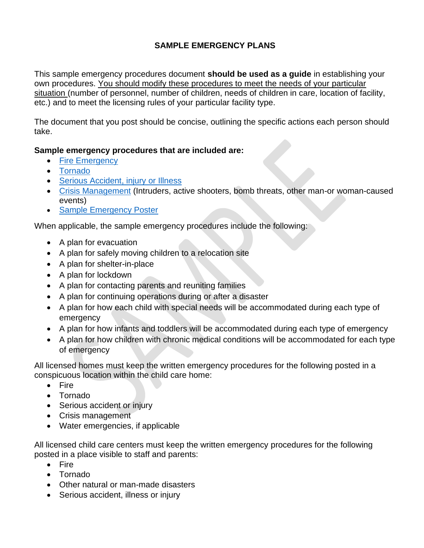# **SAMPLE EMERGENCY PLANS**

This sample emergency procedures document **should be used as a guide** in establishing your own procedures. You should modify these procedures to meet the needs of your particular situation (number of personnel, number of children, needs of children in care, location of facility, etc.) and to meet the licensing rules of your particular facility type.

The document that you post should be concise, outlining the specific actions each person should take.

#### **Sample emergency procedures that are included are:**

- [Fire Emergency](#page-3-0)
- [Tornado](#page-5-0)
- [Serious Accident, injury](#page-7-0) or Illness
- [Crisis Management](#page-8-0) (Intruders, active shooters, bomb threats, other man-or woman-caused events)
- [Sample Emergency Poster](https://www.michigan.gov/documents/lara/Sample_Emergency_Poster_683287_7.pdf)

When applicable, the sample emergency procedures include the following:

- A plan for evacuation
- A plan for safely moving children to a relocation site
- A plan for shelter-in-place
- A plan for lockdown
- A plan for contacting parents and reuniting families
- A plan for continuing operations during or after a disaster
- A plan for how each child with special needs will be accommodated during each type of emergency
- A plan for how infants and toddlers will be accommodated during each type of emergency
- A plan for how children with chronic medical conditions will be accommodated for each type of emergency

All licensed homes must keep the written emergency procedures for the following posted in a conspicuous location within the child care home:

- Fire
- Tornado
- Serious accident or injury
- Crisis management
- Water emergencies, if applicable

All licensed child care centers must keep the written emergency procedures for the following posted in a place visible to staff and parents:

- Fire
- Tornado
- Other natural or man-made disasters
- Serious accident, illness or injury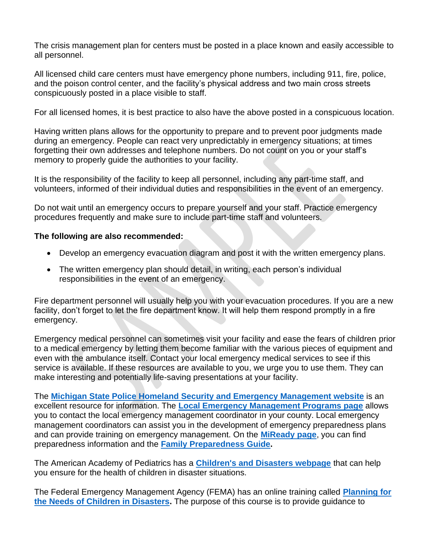The crisis management plan for centers must be posted in a place known and easily accessible to all personnel.

All licensed child care centers must have emergency phone numbers, including 911, fire, police, and the poison control center, and the facility's physical address and two main cross streets conspicuously posted in a place visible to staff.

For all licensed homes, it is best practice to also have the above posted in a conspicuous location.

Having written plans allows for the opportunity to prepare and to prevent poor judgments made during an emergency. People can react very unpredictably in emergency situations; at times forgetting their own addresses and telephone numbers. Do not count on you or your staff's memory to properly guide the authorities to your facility.

It is the responsibility of the facility to keep all personnel, including any part-time staff, and volunteers, informed of their individual duties and responsibilities in the event of an emergency.

Do not wait until an emergency occurs to prepare yourself and your staff. Practice emergency procedures frequently and make sure to include part-time staff and volunteers.

#### **The following are also recommended:**

- Develop an emergency evacuation diagram and post it with the written emergency plans.
- The written emergency plan should detail, in writing, each person's individual responsibilities in the event of an emergency.

Fire department personnel will usually help you with your evacuation procedures. If you are a new facility, don't forget to let the fire department know. It will help them respond promptly in a fire emergency.

Emergency medical personnel can sometimes visit your facility and ease the fears of children prior to a medical emergency by letting them become familiar with the various pieces of equipment and even with the ambulance itself. Contact your local emergency medical services to see if this service is available. If these resources are available to you, we urge you to use them. They can make interesting and potentially life-saving presentations at your facility.

The **[Michigan State Police Homeland Security and Emergency Management website](https://www.michigan.gov/msp/0,4643,7-123-72297_60152---,00.html)** is an excellent resource for information. The **[Local Emergency Management Programs page](https://www.michigan.gov/msp/0,4643,7-123-72297_60152_66814---,00.html)** allows you to contact the local emergency management coordinator in your county. Local emergency management coordinators can assist you in the development of emergency preparedness plans and can provide training on emergency management. On the **[MiReady page](https://www.michigan.gov/miready/)**, you can find preparedness information and the **[Family Preparedness Guide.](https://www.michigan.gov/documents/familypreparedness_color_62898_7.pdf)**

The American Academy of Pediatrics has a **[Children's and Disasters webpage](https://www.aap.org/en-us/advocacy-and-policy/aap-health-initiatives/Children-and-Disasters/Pages/default.aspx)** that can help you ensure for the health of children in disaster situations.

The Federal Emergency Management Agency (FEMA) has an online training called **[Planning for](https://training.fema.gov/is/courseoverview.aspx?code=IS-366.a)  [the Needs of Children in Disasters.](https://training.fema.gov/is/courseoverview.aspx?code=IS-366.a)** The purpose of this course is to provide guidance to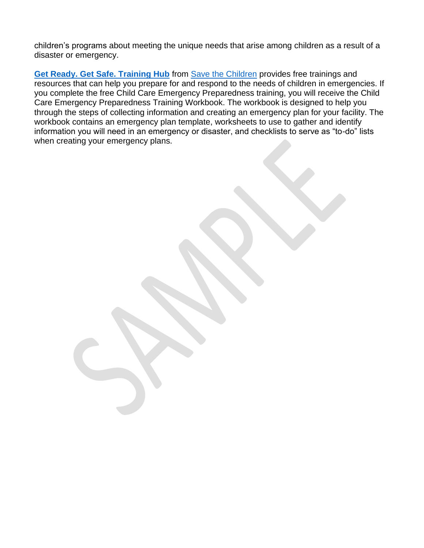children's programs about meeting the unique needs that arise among children as a result of a disaster or emergency.

**[Get Ready. Get Safe. Training Hub](https://www.savethechildren.org/)** from [Save the Children](https://www.savethechildren.org/us/what-we-do/us-programs/disaster-relief-in-america/preparedness?vanityurl=preparedness) provides free trainings and resources that can help you prepare for and respond to the needs of children in emergencies. If you complete the free Child Care Emergency Preparedness training, you will receive the Child Care Emergency Preparedness Training Workbook. The workbook is designed to help you through the steps of collecting information and creating an emergency plan for your facility. The workbook contains an emergency plan template, worksheets to use to gather and identify information you will need in an emergency or disaster, and checklists to serve as "to-do" lists when creating your emergency plans.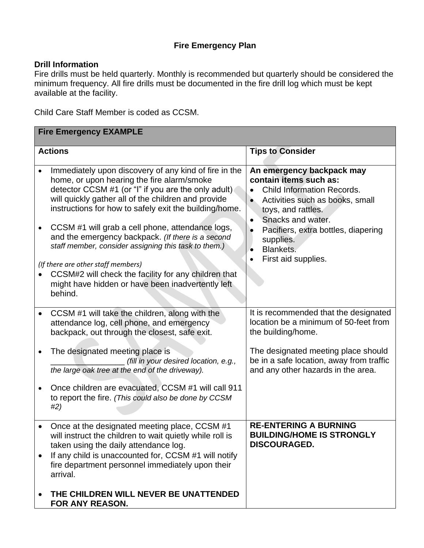## **Fire Emergency Plan**

#### <span id="page-3-0"></span>**Drill Information**

Fire drills must be held quarterly. Monthly is recommended but quarterly should be considered the minimum frequency. All fire drills must be documented in the fire drill log which must be kept available at the facility.

Child Care Staff Member is coded as CCSM.

| <b>Fire Emergency EXAMPLE</b> |                                                                                                                                                                                                                                                                                                                                                                                                                                                                                    |                                                                                                                                                                                                                                                                             |
|-------------------------------|------------------------------------------------------------------------------------------------------------------------------------------------------------------------------------------------------------------------------------------------------------------------------------------------------------------------------------------------------------------------------------------------------------------------------------------------------------------------------------|-----------------------------------------------------------------------------------------------------------------------------------------------------------------------------------------------------------------------------------------------------------------------------|
|                               | <b>Actions</b>                                                                                                                                                                                                                                                                                                                                                                                                                                                                     | <b>Tips to Consider</b>                                                                                                                                                                                                                                                     |
| $\bullet$                     | Immediately upon discovery of any kind of fire in the<br>home, or upon hearing the fire alarm/smoke<br>detector CCSM #1 (or "I" if you are the only adult)<br>will quickly gather all of the children and provide<br>instructions for how to safely exit the building/home.<br>CCSM #1 will grab a cell phone, attendance logs,<br>and the emergency backpack. (If there is a second<br>staff member, consider assigning this task to them.)<br>(If there are other staff members) | An emergency backpack may<br>contain items such as:<br><b>Child Information Records.</b><br>Activities such as books, small<br>toys, and rattles.<br>Snacks and water.<br>$\bullet$<br>Pacifiers, extra bottles, diapering<br>supplies.<br>Blankets.<br>First aid supplies. |
|                               | CCSM#2 will check the facility for any children that<br>might have hidden or have been inadvertently left<br>behind.                                                                                                                                                                                                                                                                                                                                                               |                                                                                                                                                                                                                                                                             |
|                               | CCSM #1 will take the children, along with the<br>attendance log, cell phone, and emergency<br>backpack, out through the closest, safe exit.                                                                                                                                                                                                                                                                                                                                       | It is recommended that the designated<br>location be a minimum of 50-feet from<br>the building/home.                                                                                                                                                                        |
|                               | The designated meeting place is<br>(fill in your desired location, e.g.,<br>the large oak tree at the end of the driveway).                                                                                                                                                                                                                                                                                                                                                        | The designated meeting place should<br>be in a safe location, away from traffic<br>and any other hazards in the area.                                                                                                                                                       |
|                               | Once children are evacuated, CCSM #1 will call 911<br>to report the fire. (This could also be done by CCSM<br>#2)                                                                                                                                                                                                                                                                                                                                                                  |                                                                                                                                                                                                                                                                             |
|                               | Once at the designated meeting place, CCSM #1<br>will instruct the children to wait quietly while roll is<br>taken using the daily attendance log.<br>If any child is unaccounted for, CCSM #1 will notify<br>fire department personnel immediately upon their<br>arrival.                                                                                                                                                                                                         | <b>RE-ENTERING A BURNING</b><br><b>BUILDING/HOME IS STRONGLY</b><br><b>DISCOURAGED.</b>                                                                                                                                                                                     |
|                               | THE CHILDREN WILL NEVER BE UNATTENDED<br>FOR ANY REASON.                                                                                                                                                                                                                                                                                                                                                                                                                           |                                                                                                                                                                                                                                                                             |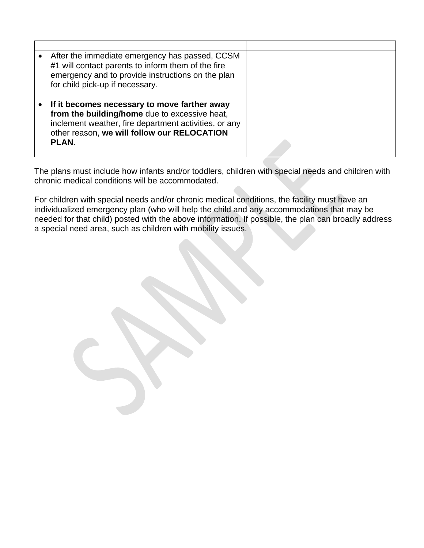| After the immediate emergency has passed, CCSM<br>#1 will contact parents to inform them of the fire<br>emergency and to provide instructions on the plan<br>for child pick-up if necessary.                          |  |
|-----------------------------------------------------------------------------------------------------------------------------------------------------------------------------------------------------------------------|--|
| If it becomes necessary to move farther away<br>from the building/home due to excessive heat,<br>inclement weather, fire department activities, or any<br>other reason, we will follow our RELOCATION<br><b>PLAN.</b> |  |

The plans must include how infants and/or toddlers, children with special needs and children with chronic medical conditions will be accommodated.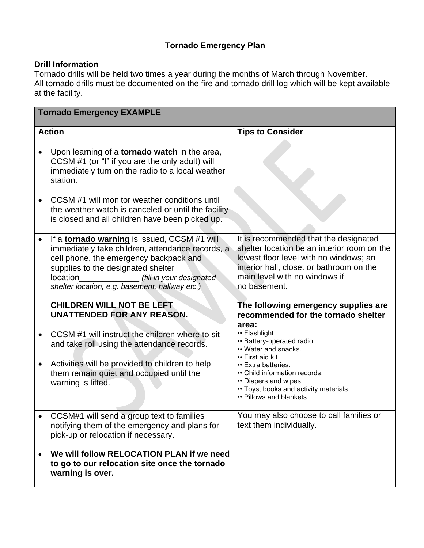## **Tornado Emergency Plan**

#### <span id="page-5-0"></span>**Drill Information**

Tornado drills will be held two times a year during the months of March through November. All tornado drills must be documented on the fire and tornado drill log which will be kept available at the facility.

| <b>Tornado Emergency EXAMPLE</b> |                                                                                                                                                                                                                                                                                   |                                                                                                                                                                                                                             |
|----------------------------------|-----------------------------------------------------------------------------------------------------------------------------------------------------------------------------------------------------------------------------------------------------------------------------------|-----------------------------------------------------------------------------------------------------------------------------------------------------------------------------------------------------------------------------|
| <b>Action</b>                    |                                                                                                                                                                                                                                                                                   | <b>Tips to Consider</b>                                                                                                                                                                                                     |
|                                  | Upon learning of a <b>tornado watch</b> in the area,<br>CCSM #1 (or "I" if you are the only adult) will<br>immediately turn on the radio to a local weather<br>station.                                                                                                           |                                                                                                                                                                                                                             |
|                                  | CCSM #1 will monitor weather conditions until<br>the weather watch is canceled or until the facility<br>is closed and all children have been picked up.                                                                                                                           |                                                                                                                                                                                                                             |
|                                  | If a <b>tornado warning</b> is issued, CCSM #1 will<br>immediately take children, attendance records, a<br>cell phone, the emergency backpack and<br>supplies to the designated shelter<br>location<br>(fill in your designated<br>shelter location, e.g. basement, hallway etc.) | It is recommended that the designated<br>shelter location be an interior room on the<br>lowest floor level with no windows; an<br>interior hall, closet or bathroom on the<br>main level with no windows if<br>no basement. |
|                                  | <b>CHILDREN WILL NOT BE LEFT</b><br>UNATTENDED FOR ANY REASON.                                                                                                                                                                                                                    | The following emergency supplies are<br>recommended for the tornado shelter<br>area:                                                                                                                                        |
|                                  | CCSM #1 will instruct the children where to sit<br>and take roll using the attendance records.                                                                                                                                                                                    | • Flashlight.<br>• Battery-operated radio.<br>• Water and snacks.<br>• First aid kit.                                                                                                                                       |
|                                  | Activities will be provided to children to help<br>them remain quiet and occupied until the<br>warning is lifted.                                                                                                                                                                 | • Extra batteries.<br>• Child information records.<br>• Diapers and wipes.<br>• Toys, books and activity materials.<br>• Pillows and blankets.                                                                              |
|                                  | CCSM#1 will send a group text to families<br>notifying them of the emergency and plans for<br>pick-up or relocation if necessary.                                                                                                                                                 | You may also choose to call families or<br>text them individually.                                                                                                                                                          |
|                                  | We will follow RELOCATION PLAN if we need<br>to go to our relocation site once the tornado<br>warning is over.                                                                                                                                                                    |                                                                                                                                                                                                                             |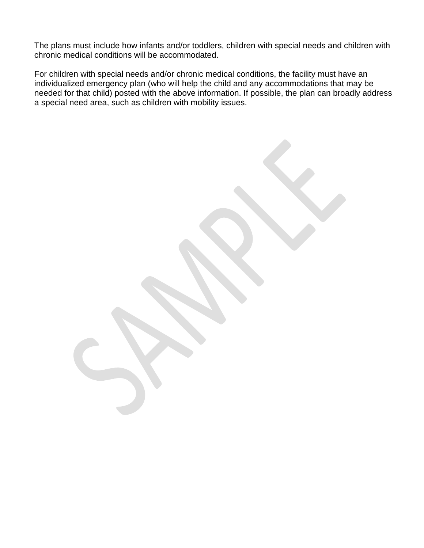The plans must include how infants and/or toddlers, children with special needs and children with chronic medical conditions will be accommodated.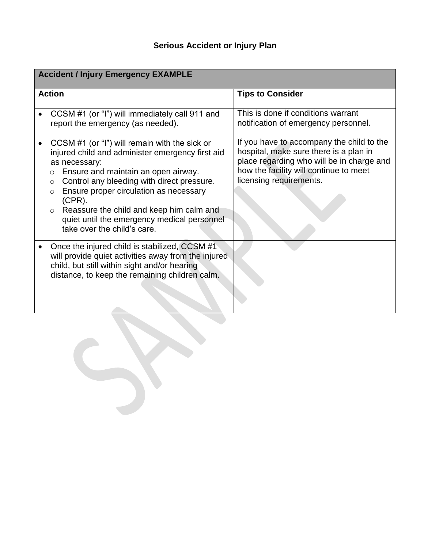<span id="page-7-0"></span>

| <b>Accident / Injury Emergency EXAMPLE</b> |                                                                                                                                                                                                                                                                                                                                                                                                                           |                                                                                                                                                                                                       |
|--------------------------------------------|---------------------------------------------------------------------------------------------------------------------------------------------------------------------------------------------------------------------------------------------------------------------------------------------------------------------------------------------------------------------------------------------------------------------------|-------------------------------------------------------------------------------------------------------------------------------------------------------------------------------------------------------|
| <b>Action</b>                              |                                                                                                                                                                                                                                                                                                                                                                                                                           | <b>Tips to Consider</b>                                                                                                                                                                               |
|                                            | CCSM #1 (or "I") will immediately call 911 and<br>report the emergency (as needed).                                                                                                                                                                                                                                                                                                                                       | This is done if conditions warrant<br>notification of emergency personnel.                                                                                                                            |
|                                            | CCSM #1 (or "I") will remain with the sick or<br>injured child and administer emergency first aid<br>as necessary:<br>Ensure and maintain an open airway.<br>$\circ$<br>Control any bleeding with direct pressure.<br>$\circ$<br>Ensure proper circulation as necessary<br>$(CPR)$ .<br>Reassure the child and keep him calm and<br>$\circ$<br>quiet until the emergency medical personnel<br>take over the child's care. | If you have to accompany the child to the<br>hospital, make sure there is a plan in<br>place regarding who will be in charge and<br>how the facility will continue to meet<br>licensing requirements. |
|                                            | Once the injured child is stabilized, CCSM #1<br>will provide quiet activities away from the injured<br>child, but still within sight and/or hearing<br>distance, to keep the remaining children calm.                                                                                                                                                                                                                    |                                                                                                                                                                                                       |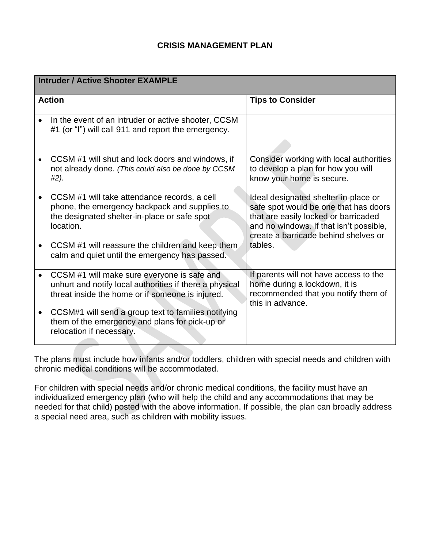#### **CRISIS MANAGEMENT PLAN**

<span id="page-8-0"></span>

| <b>Intruder / Active Shooter EXAMPLE</b> |                                                                                                                                                            |                                                                                                                                                                                                          |
|------------------------------------------|------------------------------------------------------------------------------------------------------------------------------------------------------------|----------------------------------------------------------------------------------------------------------------------------------------------------------------------------------------------------------|
| <b>Action</b>                            |                                                                                                                                                            | <b>Tips to Consider</b>                                                                                                                                                                                  |
| $\bullet$                                | In the event of an intruder or active shooter, CCSM<br>#1 (or "I") will call 911 and report the emergency.                                                 |                                                                                                                                                                                                          |
|                                          | CCSM #1 will shut and lock doors and windows, if<br>not already done. (This could also be done by CCSM<br>#2).                                             | Consider working with local authorities<br>to develop a plan for how you will<br>know your home is secure.                                                                                               |
|                                          | CCSM #1 will take attendance records, a cell<br>phone, the emergency backpack and supplies to<br>the designated shelter-in-place or safe spot<br>location. | Ideal designated shelter-in-place or<br>safe spot would be one that has doors<br>that are easily locked or barricaded<br>and no windows. If that isn't possible,<br>create a barricade behind shelves or |
|                                          | CCSM #1 will reassure the children and keep them<br>calm and quiet until the emergency has passed.                                                         | tables.                                                                                                                                                                                                  |
|                                          | CCSM #1 will make sure everyone is safe and<br>unhurt and notify local authorities if there a physical<br>threat inside the home or if someone is injured. | If parents will not have access to the<br>home during a lockdown, it is<br>recommended that you notify them of<br>this in advance.                                                                       |
|                                          | CCSM#1 will send a group text to families notifying<br>them of the emergency and plans for pick-up or<br>relocation if necessary.                          |                                                                                                                                                                                                          |

The plans must include how infants and/or toddlers, children with special needs and children with chronic medical conditions will be accommodated.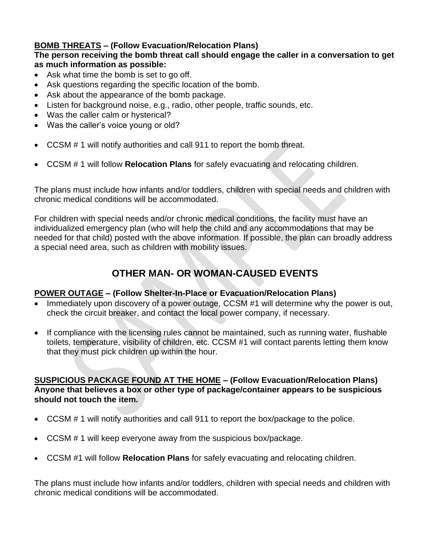# **BOMB THREATS – (Follow Evacuation/Relocation Plans)**

#### **The person receiving the bomb threat call should engage the caller in a conversation to get as much information as possible:**

- Ask what time the bomb is set to go off.
- Ask questions regarding the specific location of the bomb.
- Ask about the appearance of the bomb package.
- Listen for background noise, e.g., radio, other people, traffic sounds, etc.
- Was the caller calm or hysterical?
- Was the caller's voice young or old?
- CCSM # 1 will notify authorities and call 911 to report the bomb threat.
- CCSM # 1 will follow **Relocation Plans** for safely evacuating and relocating children.

The plans must include how infants and/or toddlers, children with special needs and children with chronic medical conditions will be accommodated.

For children with special needs and/or chronic medical conditions, the facility must have an individualized emergency plan (who will help the child and any accommodations that may be needed for that child) posted with the above information. If possible, the plan can broadly address a special need area, such as children with mobility issues.

# **OTHER MAN- OR WOMAN-CAUSED EVENTS**

#### **POWER OUTAGE – (Follow Shelter-In-Place or Evacuation/Relocation Plans)**

- Immediately upon discovery of a power outage, CCSM #1 will determine why the power is out, check the circuit breaker, and contact the local power company, if necessary.
- If compliance with the licensing rules cannot be maintained, such as running water, flushable toilets, temperature, visibility of children, etc. CCSM #1 will contact parents letting them know that they must pick children up within the hour.

#### **SUSPICIOUS PACKAGE FOUND AT THE HOME – (Follow Evacuation/Relocation Plans) Anyone that believes a box or other type of package/container appears to be suspicious should not touch the item.**

- CCSM # 1 will notify authorities and call 911 to report the box/package to the police.
- CCSM # 1 will keep everyone away from the suspicious box/package.
- CCSM #1 will follow **Relocation Plans** for safely evacuating and relocating children.

The plans must include how infants and/or toddlers, children with special needs and children with chronic medical conditions will be accommodated.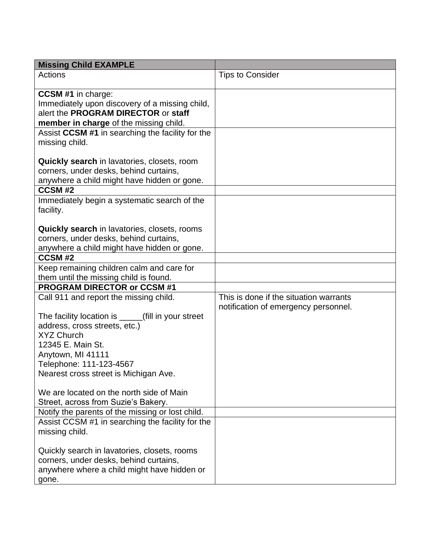| <b>Missing Child EXAMPLE</b>                        |                                        |
|-----------------------------------------------------|----------------------------------------|
| Actions                                             | <b>Tips to Consider</b>                |
|                                                     |                                        |
| <b>CCSM #1</b> in charge:                           |                                        |
| Immediately upon discovery of a missing child,      |                                        |
| alert the PROGRAM DIRECTOR or staff                 |                                        |
| member in charge of the missing child.              |                                        |
| Assist CCSM #1 in searching the facility for the    |                                        |
| missing child.                                      |                                        |
|                                                     |                                        |
| <b>Quickly search</b> in lavatories, closets, room  |                                        |
| corners, under desks, behind curtains,              |                                        |
| anywhere a child might have hidden or gone.         |                                        |
| CCSM#2                                              |                                        |
| Immediately begin a systematic search of the        |                                        |
| facility.                                           |                                        |
|                                                     |                                        |
| <b>Quickly search</b> in lavatories, closets, rooms |                                        |
| corners, under desks, behind curtains,              |                                        |
| anywhere a child might have hidden or gone.         |                                        |
| CCSM#2                                              |                                        |
| Keep remaining children calm and care for           |                                        |
| them until the missing child is found.              |                                        |
| <b>PROGRAM DIRECTOR or CCSM #1</b>                  |                                        |
| Call 911 and report the missing child.              | This is done if the situation warrants |
|                                                     | notification of emergency personnel.   |
| The facility location is _____(fill in your street  |                                        |
| address, cross streets, etc.)<br><b>XYZ Church</b>  |                                        |
|                                                     |                                        |
| 12345 E. Main St.                                   |                                        |
| Anytown, MI 41111                                   |                                        |
| Telephone: 111-123-4567                             |                                        |
| Nearest cross street is Michigan Ave.               |                                        |
| We are located on the north side of Main            |                                        |
| Street, across from Suzie's Bakery.                 |                                        |
| Notify the parents of the missing or lost child.    |                                        |
| Assist CCSM #1 in searching the facility for the    |                                        |
| missing child.                                      |                                        |
|                                                     |                                        |
| Quickly search in lavatories, closets, rooms        |                                        |
| corners, under desks, behind curtains,              |                                        |
| anywhere where a child might have hidden or         |                                        |
| gone.                                               |                                        |
|                                                     |                                        |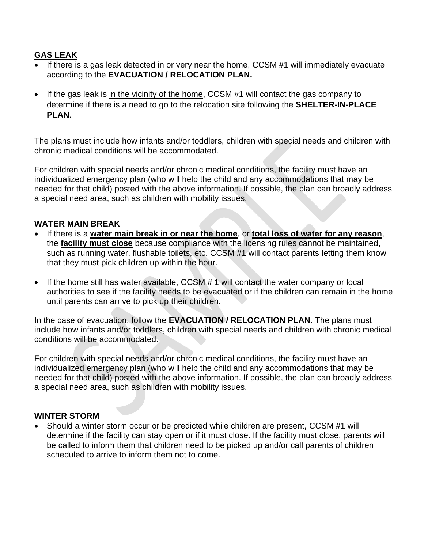## **GAS LEAK**

- If there is a gas leak detected in or very near the home, CCSM #1 will immediately evacuate according to the **EVACUATION / RELOCATION PLAN.**
- If the gas leak is in the vicinity of the home, CCSM #1 will contact the gas company to determine if there is a need to go to the relocation site following the **SHELTER-IN-PLACE PLAN.**

The plans must include how infants and/or toddlers, children with special needs and children with chronic medical conditions will be accommodated.

For children with special needs and/or chronic medical conditions, the facility must have an individualized emergency plan (who will help the child and any accommodations that may be needed for that child) posted with the above information. If possible, the plan can broadly address a special need area, such as children with mobility issues.

#### **WATER MAIN BREAK**

- If there is a **water main break in or near the home**, or **total loss of water for any reason**, the **facility must close** because compliance with the licensing rules cannot be maintained, such as running water, flushable toilets, etc. CCSM #1 will contact parents letting them know that they must pick children up within the hour.
- If the home still has water available, CCSM # 1 will contact the water company or local authorities to see if the facility needs to be evacuated or if the children can remain in the home until parents can arrive to pick up their children.

In the case of evacuation, follow the **EVACUATION / RELOCATION PLAN**. The plans must include how infants and/or toddlers, children with special needs and children with chronic medical conditions will be accommodated.

For children with special needs and/or chronic medical conditions, the facility must have an individualized emergency plan (who will help the child and any accommodations that may be needed for that child) posted with the above information. If possible, the plan can broadly address a special need area, such as children with mobility issues.

#### **WINTER STORM**

• Should a winter storm occur or be predicted while children are present, CCSM #1 will determine if the facility can stay open or if it must close. If the facility must close, parents will be called to inform them that children need to be picked up and/or call parents of children scheduled to arrive to inform them not to come.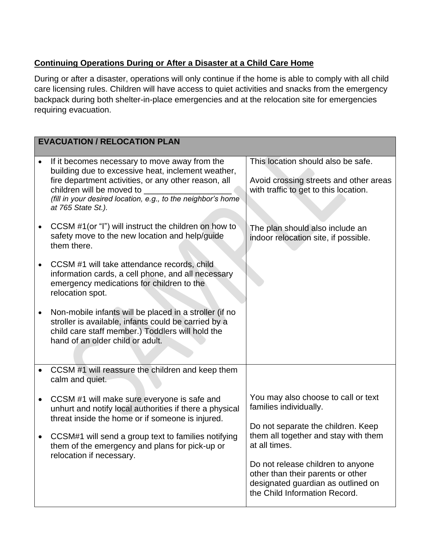# **Continuing Operations During or After a Disaster at a Child Care Home**

During or after a disaster, operations will only continue if the home is able to comply with all child care licensing rules. Children will have access to quiet activities and snacks from the emergency backpack during both shelter-in-place emergencies and at the relocation site for emergencies requiring evacuation.

|           | <b>EVACUATION / RELOCATION PLAN</b>                                                                                                                                                                                                                                              |                                                                                                                                                                                                        |  |
|-----------|----------------------------------------------------------------------------------------------------------------------------------------------------------------------------------------------------------------------------------------------------------------------------------|--------------------------------------------------------------------------------------------------------------------------------------------------------------------------------------------------------|--|
| $\bullet$ | If it becomes necessary to move away from the<br>building due to excessive heat, inclement weather,<br>fire department activities, or any other reason, all<br>children will be moved to _<br>(fill in your desired location, e.g., to the neighbor's home<br>at 765 State St.). | This location should also be safe.<br>Avoid crossing streets and other areas<br>with traffic to get to this location.                                                                                  |  |
|           | CCSM #1(or "I") will instruct the children on how to<br>safety move to the new location and help/guide<br>them there.                                                                                                                                                            | The plan should also include an<br>indoor relocation site, if possible.                                                                                                                                |  |
|           | CCSM #1 will take attendance records, child<br>information cards, a cell phone, and all necessary<br>emergency medications for children to the<br>relocation spot.                                                                                                               |                                                                                                                                                                                                        |  |
|           | Non-mobile infants will be placed in a stroller (if no<br>stroller is available, infants could be carried by a<br>child care staff member.) Toddlers will hold the<br>hand of an older child or adult.                                                                           |                                                                                                                                                                                                        |  |
|           | CCSM #1 will reassure the children and keep them<br>calm and quiet.                                                                                                                                                                                                              |                                                                                                                                                                                                        |  |
|           | CCSM #1 will make sure everyone is safe and<br>unhurt and notify local authorities if there a physical<br>threat inside the home or if someone is injured.                                                                                                                       | You may also choose to call or text<br>families individually.<br>Do not separate the children. Keep                                                                                                    |  |
|           | CCSM#1 will send a group text to families notifying<br>them of the emergency and plans for pick-up or<br>relocation if necessary.                                                                                                                                                | them all together and stay with them<br>at all times.<br>Do not release children to anyone<br>other than their parents or other<br>designated guardian as outlined on<br>the Child Information Record. |  |